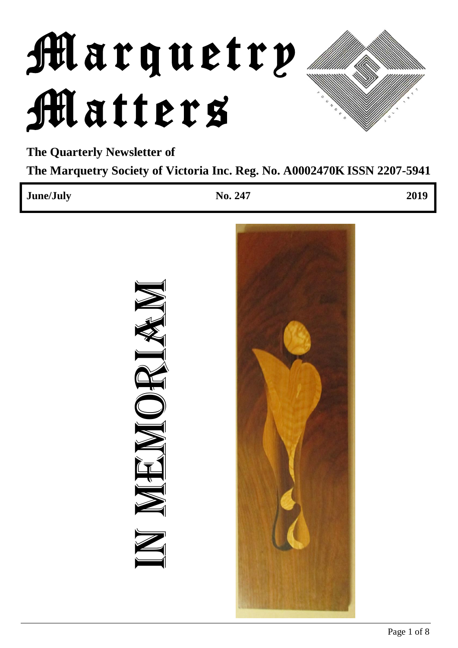# Marquetry Matters

**The Quarterly Newsletter of The Marquetry Society of Victoria Inc. Reg. No. A0002470K ISSN 2207-5941**

| June/July |               | No. 247 | 2019 |
|-----------|---------------|---------|------|
|           | RIAN<br>NNEWN |         |      |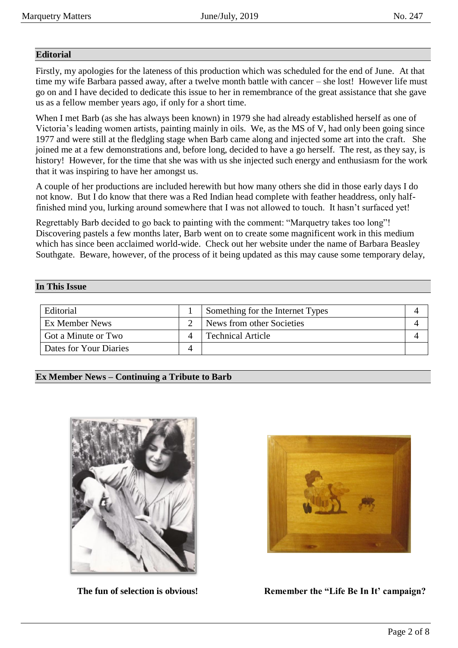## **Editorial**

Firstly, my apologies for the lateness of this production which was scheduled for the end of June. At that time my wife Barbara passed away, after a twelve month battle with cancer – she lost! However life must go on and I have decided to dedicate this issue to her in remembrance of the great assistance that she gave us as a fellow member years ago, if only for a short time.

When I met Barb (as she has always been known) in 1979 she had already established herself as one of Victoria's leading women artists, painting mainly in oils. We, as the MS of V, had only been going since 1977 and were still at the fledgling stage when Barb came along and injected some art into the craft. She joined me at a few demonstrations and, before long, decided to have a go herself. The rest, as they say, is history! However, for the time that she was with us she injected such energy and enthusiasm for the work that it was inspiring to have her amongst us.

A couple of her productions are included herewith but how many others she did in those early days I do not know. But I do know that there was a Red Indian head complete with feather headdress, only halffinished mind you, lurking around somewhere that I was not allowed to touch. It hasn't surfaced yet!

Regrettably Barb decided to go back to painting with the comment: "Marquetry takes too long"! Discovering pastels a few months later, Barb went on to create some magnificent work in this medium which has since been acclaimed world-wide. Check out her website under the name of Barbara Beasley Southgate. Beware, however, of the process of it being updated as this may cause some temporary delay,

## **In This Issue**

| Editorial              | Something for the Internet Types |  |
|------------------------|----------------------------------|--|
| Ex Member News         | News from other Societies        |  |
| Got a Minute or Two    | <b>Technical Article</b>         |  |
| Dates for Your Diaries |                                  |  |

**Ex Member News – Continuing a Tribute to Barb**





**The fun of selection is obvious! Remember the "Life Be In It' campaign?**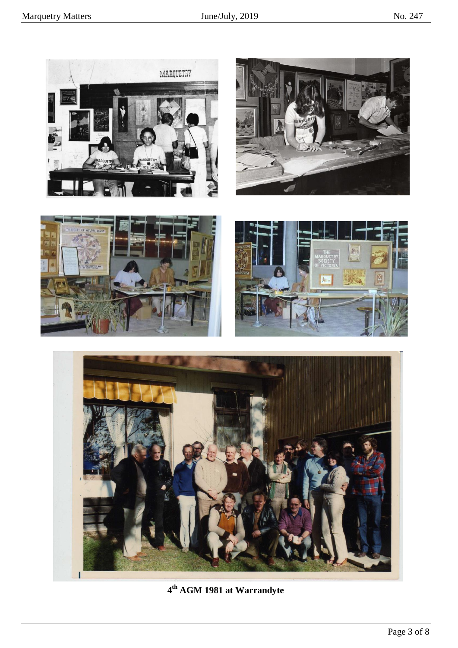

**4 th AGM 1981 at Warrandyte**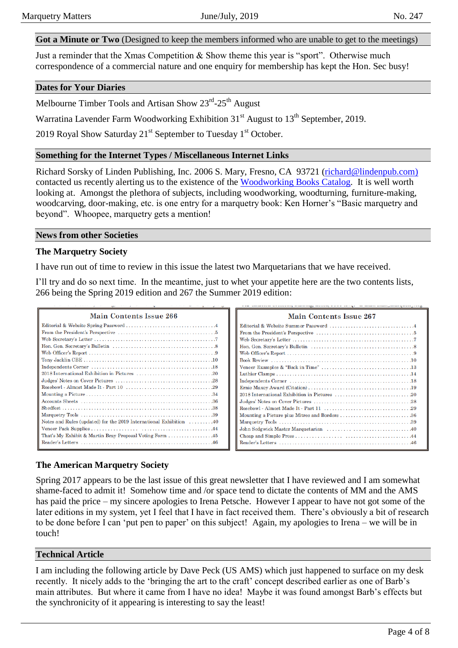**Got a Minute or Two** (Designed to keep the members informed who are unable to get to the meetings)

Just a reminder that the Xmas Competition & Show theme this year is "sport". Otherwise much correspondence of a commercial nature and one enquiry for membership has kept the Hon. Sec busy!

## **Dates for Your Diaries**

Melbourne Timber Tools and Artisan Show 23<sup>rd</sup>-25<sup>th</sup> August

Warratina Lavender Farm Woodworking Exhibition  $31<sup>st</sup>$  August to  $13<sup>th</sup>$  September, 2019.

2019 Royal Show Saturday  $21<sup>st</sup>$  September to Tuesday  $1<sup>st</sup>$  October.

## **Something for the Internet Types / Miscellaneous Internet Links**

Richard Sorsky of Linden Publishing, Inc. 2006 S. Mary, Fresno, CA 93721 [\(richard@lindenpub.com\)](mailto:richard@lindenpub.com) contacted us recently alerting us to the existence of the [Woodworking Books Catalog.](https://issuu.com/ksorsky/docs/linden-sph_woodworking_catalog_issu?e=8061376/63688534) It is well worth looking at. Amongst the plethora of subjects, including woodworking, woodturning, furniture-making, woodcarving, door-making, etc. is one entry for a marquetry book: Ken Horner's "Basic marquetry and beyond". Whoopee, marquetry gets a mention!

#### **News from other Societies**

## **The Marquetry Society**

I have run out of time to review in this issue the latest two Marquetarians that we have received.

I'll try and do so next time. In the meantime, just to whet your appetite here are the two contents lists, 266 being the Spring 2019 edition and 267 the Summer 2019 edition:

| a constitution of the constitution of the constitution of the constitution of the constitution of the constitution of the constitution of the constitution of the constitution of the constitution of the constitution of the |                                |
|-------------------------------------------------------------------------------------------------------------------------------------------------------------------------------------------------------------------------------|--------------------------------|
| Main Contents Issue 266                                                                                                                                                                                                       | <b>Main Contents Issue 267</b> |
|                                                                                                                                                                                                                               |                                |
|                                                                                                                                                                                                                               |                                |
|                                                                                                                                                                                                                               |                                |
|                                                                                                                                                                                                                               |                                |
|                                                                                                                                                                                                                               |                                |
|                                                                                                                                                                                                                               |                                |
|                                                                                                                                                                                                                               |                                |
|                                                                                                                                                                                                                               |                                |
|                                                                                                                                                                                                                               |                                |
|                                                                                                                                                                                                                               |                                |
|                                                                                                                                                                                                                               |                                |
|                                                                                                                                                                                                                               |                                |
|                                                                                                                                                                                                                               |                                |
|                                                                                                                                                                                                                               |                                |
| Notes and Rules (updated) for the 2019 International Exhibition 40                                                                                                                                                            |                                |
|                                                                                                                                                                                                                               |                                |
|                                                                                                                                                                                                                               |                                |
|                                                                                                                                                                                                                               |                                |
|                                                                                                                                                                                                                               |                                |

## **The American Marquetry Society**

Spring 2017 appears to be the last issue of this great newsletter that I have reviewed and I am somewhat shame-faced to admit it! Somehow time and /or space tend to dictate the contents of MM and the AMS has paid the price – my sincere apologies to Irena Petsche. However I appear to have not got some of the later editions in my system, yet I feel that I have in fact received them. There's obviously a bit of research to be done before I can 'put pen to paper' on this subject! Again, my apologies to Irena – we will be in touch!

## **Technical Article**

I am including the following article by Dave Peck (US AMS) which just happened to surface on my desk recently. It nicely adds to the 'bringing the art to the craft' concept described earlier as one of Barb's main attributes. But where it came from I have no idea! Maybe it was found amongst Barb's effects but the synchronicity of it appearing is interesting to say the least!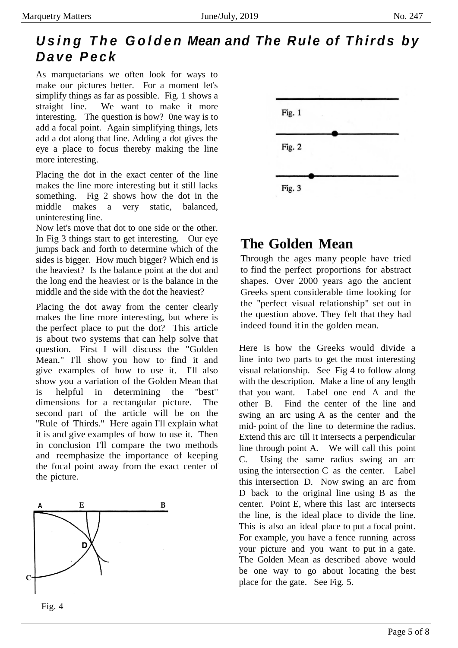# *U s i n g T h e G o l d e n Mean and The Rule of T h i r d s b y D a v e P e c k*

As marquetarians we often look for ways to make our pictures better. For a moment let's simplify things as far as possible. Fig. 1 shows a straight line. We want to make it more interesting. The question is how? 0ne way is to add a focal point. Again simplifying things, lets add a dot along that line. Adding a dot gives the eye a place to focus thereby making the line more interesting.

Placing the dot in the exact center of the line makes the line more interesting but it still lacks something. Fig 2 shows how the dot in the middle makes a very static, balanced, uninteresting line.

Now let's move that dot to one side or the other. In Fig 3 things start to get interesting. Our eye jumps back and forth to determine which of the sides is bigger. How much bigger? Which end is the heaviest? Is the balance point at the dot and the long end the heaviest or is the balance in the middle and the side with the dot the heaviest?

Placing the dot away from the center clearly makes the line more interesting, but where is the perfect place to put the dot? This article is about two systems that can help solve that question. First I will discuss the "Golden Mean." I'll show you how to· find it and give examples of how to use it. I'll also show you a variation of the Golden Mean that is helpful in determining the ''best'' dimensions for a rectangular picture. The second part of the article will be on the "Rule of Thirds." Here again I'll explain what it is and give examples of how to use it. Then in conclusion I'll compare the two methods and reemphasize the importance of keeping the focal point away from the exact center of the picture.





# **The Golden Mean**

Through the ages many people have tried to find the perfect proportions for abstract shapes. Over 2000 years ago the ancient Greeks spent considerable time looking for the ''perfect visual relationship" set out in the question above. They felt that they had indeed found it in the golden mean.

Here is how the Greeks would divide a line into two parts to get the most interesting visual relationship. See Fig 4 to follow along with the description. Make a line of any length that you want. Label one end A and the other B. Find the center of the line and swing an arc using A as the center and the mid- point of the line to determine the radius. Extend this arc till it intersects a perpendicular line through point A. We will call this point C. Using the same radius swing an arc using the intersection C as the center. Label this intersection D. Now swing an arc from D back to the original line using B as the center. Point E, where this last arc intersects the line, is the ideal place to divide the line. This is also an ideal place to put a focal point. For example, you have a fence running across your picture and you want to put in a gate. The Golden Mean as described above would be one way to go about locating the best place for the gate. See Fig. 5.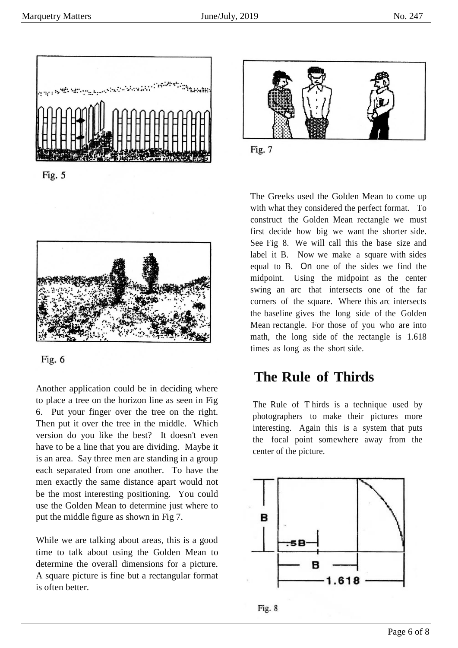

Fig. 5





Another application could be in deciding where to place a tree on the horizon line as seen in Fig 6. Put your finger over the tree on the right. Then put it over the tree in the middle. Which version do you like the best? It doesn't even have to be a line that you are dividing. Maybe it is an area. Say three men are standing in a group each separated from one another. To have the men exactly the same distance apart would not be the most interesting positioning. You could use the Golden Mean to determine just where to put the middle figure as shown in Fig 7.

While we are talking about areas, this is a good time to talk about using the Golden Mean to determine the overall dimensions for a picture. A square picture is fine but a rectangular format is often better.



Fig. 7

The Greeks used the Golden Mean to come up with what they considered the perfect format. To construct the Golden Mean rectangle we must first decide how big we want the shorter side. See Fig 8. We will call this the base size and label it B. Now we make a square with sides equal to B. On one of the sides we find the midpoint. Using the midpoint as the center swing an arc that intersects one of the far corners of the square. Where this arc intersects the baseline gives the long side of the Golden Mean rectangle. For those of you who are into math, the long side of the rectangle is 1.618 times as long as the short side.

# **The Rule of Thirds**

The Rule of T hirds is a technique used by photographers to make their pictures more interesting. Again this is a system that puts the focal point somewhere away from the center of the picture.



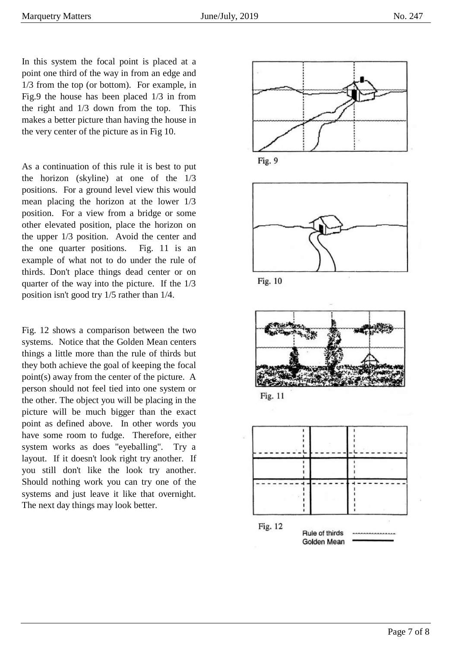In this system the focal point is placed at a point one third of the way in from an edge and 1/3 from the top (or bottom). For example, in Fig.9 the house has been placed 1/3 in from the right and 1/3 down from the top. This makes a better picture than having the house in the very center of the picture as in Fig 10.

As a continuation of this rule it is best to put the horizon (skyline) at one of the 1/3 positions. For a ground level view this would mean placing the horizon at the lower 1/3 position. For a view from a bridge or some other elevated position, place the horizon on the upper 1/3 position. Avoid the center and the one quarter positions. Fig. 11 is an example of what not to do under the rule of thirds. Don't place things dead center or on quarter of the way into the picture. If the 1/3 position isn't good try 1/5 rather than 1/4.

Fig. 12 shows a comparison between the two systems. Notice that the Golden Mean centers things a little more than the rule of thirds but they both achieve the goal of keeping the focal point(s) away from the center of the picture. A person should not feel tied into one system or the other. The object you will be placing in the picture will be much bigger than the exact point as defined above. In other words you have some room to fudge. Therefore, either system works as does "eyeballing". Try a layout. If it doesn't look right try another. If you still don't like the look try another. Should nothing work you can try one of the systems and just leave it like that overnight. The next day things may look better.











Fig. 11